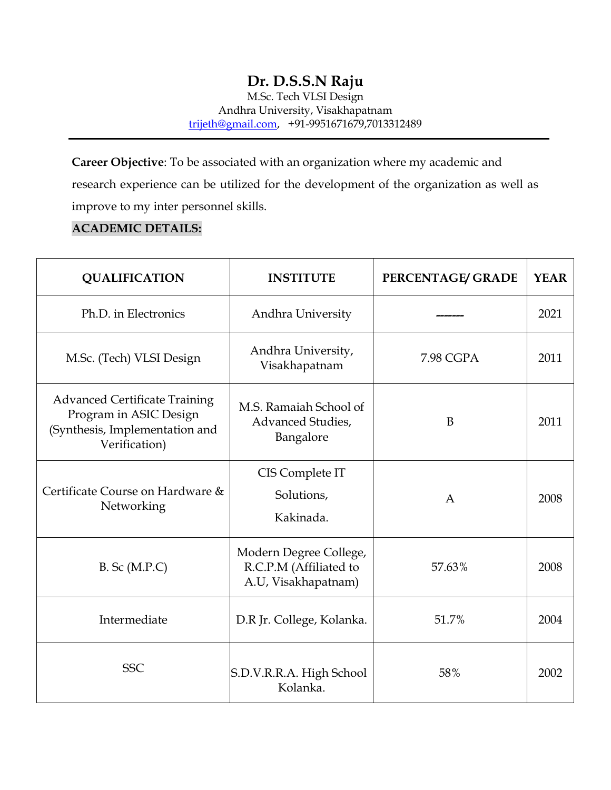# **Dr. D.S.S.N Raju**

M.Sc. Tech VLSI Design Andhra University, Visakhapatnam [trijeth@gmail.com,](mailto:trijeth@gmail.com) +91-9951671679,7013312489

**Career Objective**: To be associated with an organization where my academic and research experience can be utilized for the development of the organization as well as improve to my inter personnel skills.

# **ACADEMIC DETAILS:**

| <b>QUALIFICATION</b>                                                                                              | <b>INSTITUTE</b>                                                        | PERCENTAGE/ GRADE | <b>YEAR</b> |
|-------------------------------------------------------------------------------------------------------------------|-------------------------------------------------------------------------|-------------------|-------------|
| Ph.D. in Electronics                                                                                              | Andhra University                                                       |                   | 2021        |
| M.Sc. (Tech) VLSI Design                                                                                          | Andhra University,<br>Visakhapatnam                                     | 7.98 CGPA         | 2011        |
| <b>Advanced Certificate Training</b><br>Program in ASIC Design<br>(Synthesis, Implementation and<br>Verification) | M.S. Ramaiah School of<br>Advanced Studies,<br>Bangalore                | B                 | 2011        |
| Certificate Course on Hardware &<br>Networking                                                                    | CIS Complete IT<br>Solutions,<br>Kakinada.                              | $\overline{A}$    | 2008        |
| $B.$ Sc (M.P.C)                                                                                                   | Modern Degree College,<br>R.C.P.M (Affiliated to<br>A.U, Visakhapatnam) | 57.63%            | 2008        |
| Intermediate                                                                                                      | D.R Jr. College, Kolanka.                                               | 51.7%             | 2004        |
| <b>SSC</b>                                                                                                        | S.D.V.R.R.A. High School<br>Kolanka.                                    | 58%               | 2002        |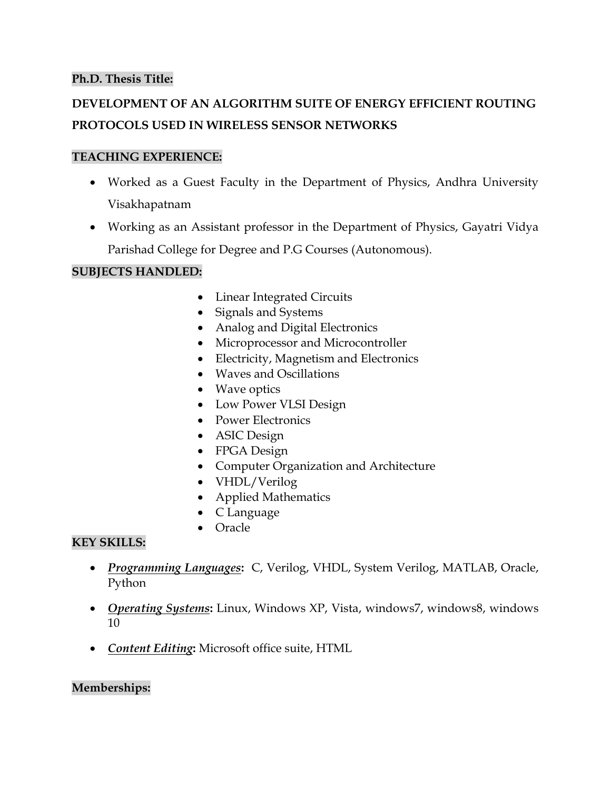## **Ph.D. Thesis Title:**

# **DEVELOPMENT OF AN ALGORITHM SUITE OF ENERGY EFFICIENT ROUTING PROTOCOLS USED IN WIRELESS SENSOR NETWORKS**

## **TEACHING EXPERIENCE:**

- Worked as a Guest Faculty in the Department of Physics, Andhra University Visakhapatnam
- Working as an Assistant professor in the Department of Physics, Gayatri Vidya Parishad College for Degree and P.G Courses (Autonomous).

### **SUBJECTS HANDLED:**

- Linear Integrated Circuits
- Signals and Systems
- Analog and Digital Electronics
- Microprocessor and Microcontroller
- Electricity, Magnetism and Electronics
- Waves and Oscillations
- Wave optics
- Low Power VLSI Design
- Power Electronics
- ASIC Design
- FPGA Design
- Computer Organization and Architecture
- VHDL/Verilog
- Applied Mathematics
- C Language
- Oracle

### **KEY SKILLS:**

- *Programming Languages***:** C, Verilog, VHDL, System Verilog, MATLAB, Oracle, Python
- *Operating Systems***:** Linux, Windows XP, Vista, windows7, windows8, windows 10
- *Content Editing***:** Microsoft office suite, HTML

# **Memberships:**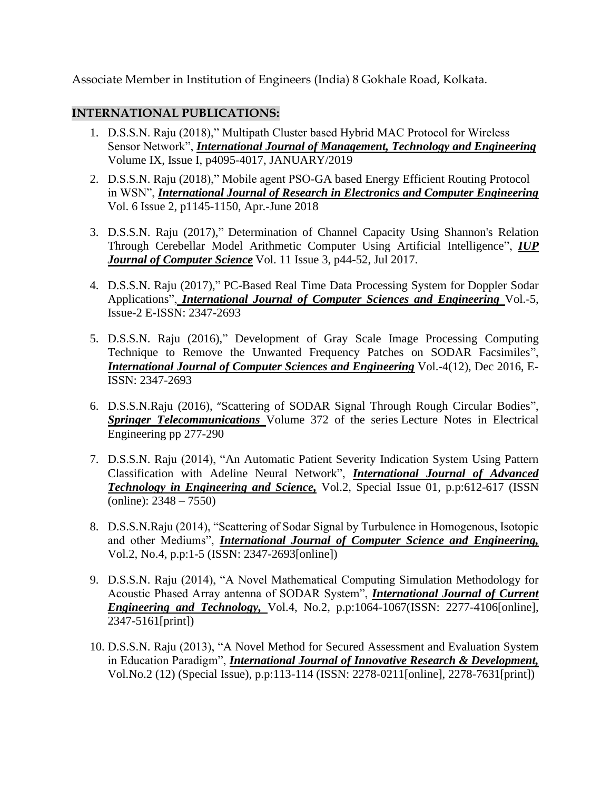Associate Member in Institution of Engineers (India) 8 Gokhale Road, Kolkata.

## **INTERNATIONAL PUBLICATIONS:**

- 1. D.S.S.N. Raju (2018)," Multipath Cluster based Hybrid MAC Protocol for Wireless Sensor Network", *International Journal of Management, Technology and Engineering*  Volume IX, Issue I, p4095-4017, JANUARY/2019
- 2. D.S.S.N. Raju (2018)," Mobile agent PSO-GA based Energy Efficient Routing Protocol in WSN", *International Journal of Research in Electronics and Computer Engineering* Vol. 6 Issue 2, p1145-1150, Apr.-June 2018
- 3. D.S.S.N. Raju (2017)," Determination of Channel Capacity Using Shannon's Relation Through Cerebellar Model Arithmetic Computer Using Artificial Intelligence", *IUP Journal of Computer Science* Vol. 11 Issue 3, p44-52, Jul 2017.
- 4. D.S.S.N. Raju (2017)," PC-Based Real Time Data Processing System for Doppler Sodar Applications", *International Journal of Computer Sciences and Engineering* Vol.-5, Issue-2 E-ISSN: 2347-2693
- 5. D.S.S.N. Raju (2016)," Development of Gray Scale Image Processing Computing Technique to Remove the Unwanted Frequency Patches on SODAR Facsimiles", *International Journal of Computer Sciences and Engineering* Vol.-4(12), Dec 2016, E-ISSN: 2347-2693
- 6. D.S.S.N.Raju (2016), "Scattering of SODAR Signal Through Rough Circular Bodies", *Springer Telecommunications* Volume 372 of the series [Lecture Notes in Electrical](http://link.springer.com/bookseries/7818)  [Engineering](http://link.springer.com/bookseries/7818) pp 277-290
- 7. D.S.S.N. Raju (2014), "An Automatic Patient Severity Indication System Using Pattern Classification with Adeline Neural Network", *International Journal of Advanced Technology in Engineering and Science,* Vol.2, Special Issue 01, p.p:612-617 (ISSN  $\overline{\text{(online)}}: 2348 - 7550$
- 8. D.S.S.N.Raju (2014), "Scattering of Sodar Signal by Turbulence in Homogenous, Isotopic and other Mediums", *International Journal of Computer Science and Engineering,* Vol.2, No.4, p.p:1-5 (ISSN: 2347-2693[online])
- 9. D.S.S.N. Raju (2014), "A Novel Mathematical Computing Simulation Methodology for Acoustic Phased Array antenna of SODAR System", *International Journal of Current Engineering and Technology,* Vol.4, No.2, p.p:1064-1067(ISSN: 2277-4106[online], 2347-5161[print])
- 10. D.S.S.N. Raju (2013), "A Novel Method for Secured Assessment and Evaluation System in Education Paradigm", *International Journal of Innovative Research & Development,*  Vol.No.2 (12) (Special Issue), p.p:113-114 (ISSN: 2278-0211[online], 2278-7631[print])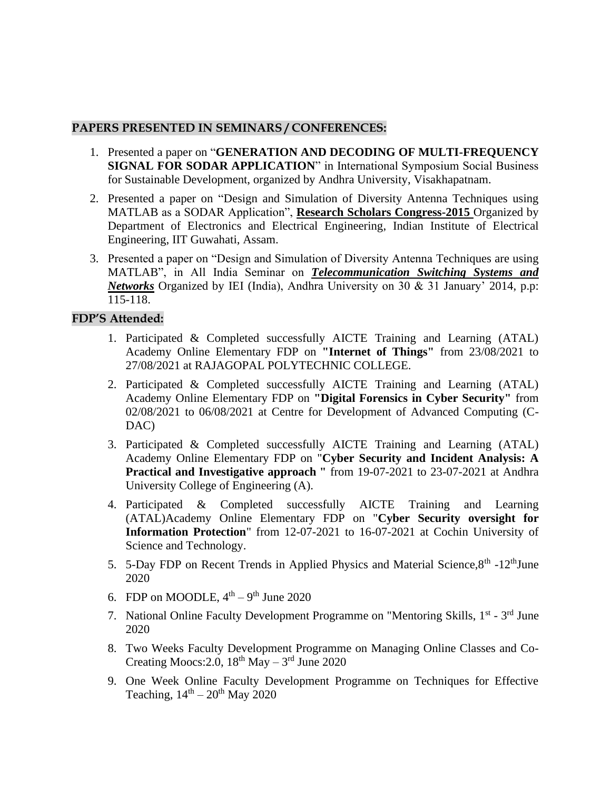#### **PAPERS PRESENTED IN SEMINARS / CONFERENCES:**

- 1. Presented a paper on "**GENERATION AND DECODING OF MULTI-FREQUENCY SIGNAL FOR SODAR APPLICATION**" in International Symposium Social Business for Sustainable Development, organized by Andhra University, Visakhapatnam.
- 2. Presented a paper on "Design and Simulation of Diversity Antenna Techniques using MATLAB as a SODAR Application", **Research Scholars Congress-2015** Organized by Department of Electronics and Electrical Engineering, Indian Institute of Electrical Engineering, IIT Guwahati, Assam.
- 3. Presented a paper on "Design and Simulation of Diversity Antenna Techniques are using MATLAB", in All India Seminar on *Telecommunication Switching Systems and Networks* Organized by IEI (India), Andhra University on 30 & 31 January' 2014, p.p: 115-118.

### **FDP'S Attended:**

- 1. Participated & Completed successfully AICTE Training and Learning (ATAL) Academy Online Elementary FDP on **"Internet of Things"** from 23/08/2021 to 27/08/2021 at RAJAGOPAL POLYTECHNIC COLLEGE.
- 2. Participated & Completed successfully AICTE Training and Learning (ATAL) Academy Online Elementary FDP on **"Digital Forensics in Cyber Security"** from 02/08/2021 to 06/08/2021 at Centre for Development of Advanced Computing (C-DAC)
- 3. Participated & Completed successfully AICTE Training and Learning (ATAL) Academy Online Elementary FDP on "**Cyber Security and Incident Analysis: A Practical and Investigative approach "** from 19-07-2021 to 23-07-2021 at Andhra University College of Engineering (A).
- 4. Participated & Completed successfully AICTE Training and Learning (ATAL)Academy Online Elementary FDP on "**Cyber Security oversight for Information Protection**" from 12-07-2021 to 16-07-2021 at Cochin University of Science and Technology.
- 5. 5-Day FDP on Recent Trends in Applied Physics and Material Science,  $8^{th}$  -12<sup>th</sup>June 2020
- 6. FDP on MOODLE,  $4<sup>th</sup> 9<sup>th</sup>$  June 2020
- 7. National Online Faculty Development Programme on "Mentoring Skills, 1<sup>st</sup> 3<sup>rd</sup> June 2020
- 8. Two Weeks Faculty Development Programme on Managing Online Classes and Co-Creating Moocs: 2.0,  $18<sup>th</sup>$  May  $-3<sup>rd</sup>$  June 2020
- 9. One Week Online Faculty Development Programme on Techniques for Effective Teaching,  $14<sup>th</sup> - 20<sup>th</sup>$  May 2020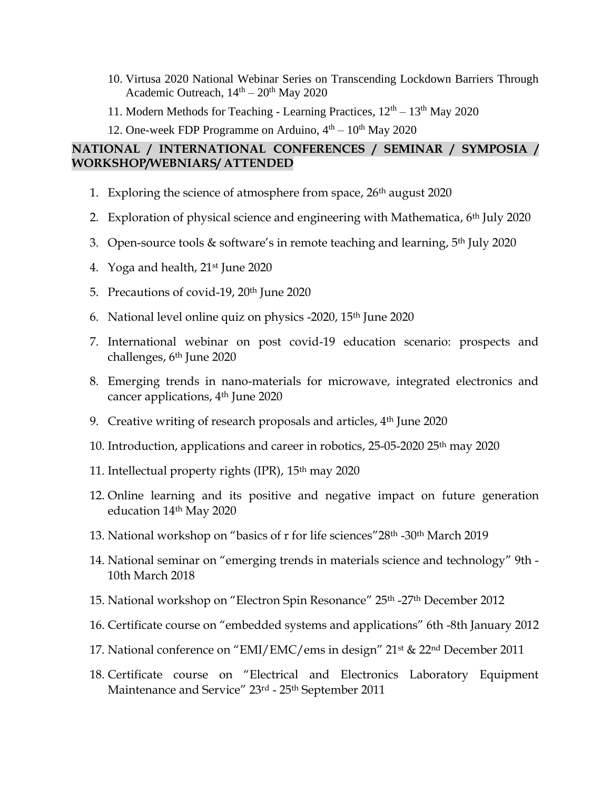- 10. Virtusa 2020 National Webinar Series on Transcending Lockdown Barriers Through Academic Outreach,  $14<sup>th</sup> - 20<sup>th</sup>$  May 2020
- 11. Modern Methods for Teaching Learning Practices,  $12<sup>th</sup> 13<sup>th</sup>$  May 2020
- 12. One-week FDP Programme on Arduino,  $4<sup>th</sup> 10<sup>th</sup>$  May 2020

# **NATIONAL / INTERNATIONAL CONFERENCES / SEMINAR / SYMPOSIA / WORKSHOP/WEBNIARS/ ATTENDED**

- 1. Exploring the science of atmosphere from space,  $26<sup>th</sup>$  august 2020
- 2. Exploration of physical science and engineering with Mathematica, 6<sup>th</sup> July 2020
- 3. Open-source tools  $\&$  software's in remote teaching and learning, 5<sup>th</sup> July 2020
- 4. Yoga and health, 21st June 2020
- 5. Precautions of covid-19, 20<sup>th</sup> June 2020
- 6. National level online quiz on physics -2020, 15th June 2020
- 7. International webinar on post covid-19 education scenario: prospects and challenges, 6th June 2020
- 8. Emerging trends in nano-materials for microwave, integrated electronics and cancer applications, 4th June 2020
- 9. Creative writing of research proposals and articles, 4<sup>th</sup> June 2020
- 10. Introduction, applications and career in robotics, 25-05-2020 25th may 2020
- 11. Intellectual property rights (IPR), 15<sup>th</sup> may 2020
- 12. Online learning and its positive and negative impact on future generation education 14th May 2020
- 13. National workshop on "basics of r for life sciences"28th -30th March 2019
- 14. National seminar on "emerging trends in materials science and technology" 9th 10th March 2018
- 15. National workshop on "Electron Spin Resonance" 25th -27th December 2012
- 16. Certificate course on "embedded systems and applications" 6th -8th January 2012
- 17. National conference on "EMI/EMC/ems in design" 21st & 22nd December 2011
- 18. Certificate course on "Electrical and Electronics Laboratory Equipment Maintenance and Service" 23rd - 25th September 2011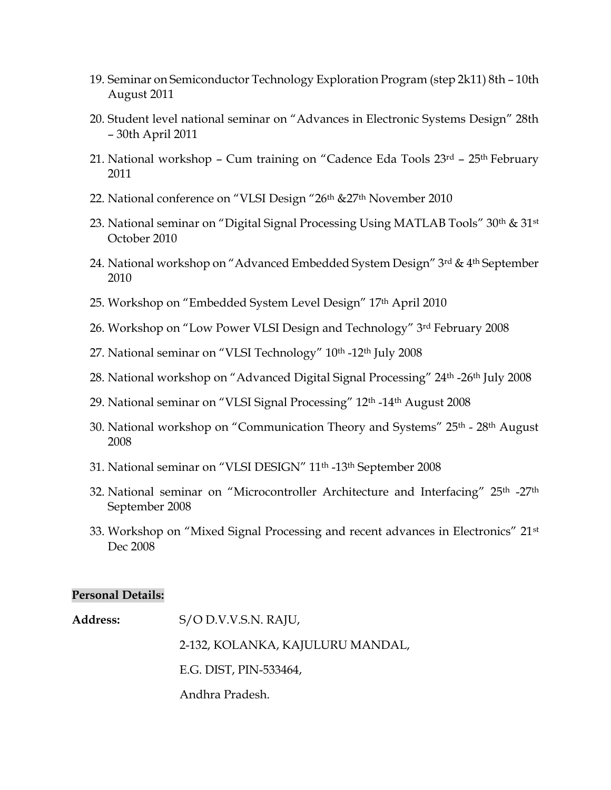- 19. Seminar on Semiconductor Technology Exploration Program (step 2k11) 8th 10th August 2011
- 20. Student level national seminar on "Advances in Electronic Systems Design" 28th – 30th April 2011
- 21. National workshop Cum training on "Cadence Eda Tools 23rd 25th February 2011
- 22. National conference on "VLSI Design "26<sup>th</sup> &27<sup>th</sup> November 2010
- 23. National seminar on "Digital Signal Processing Using MATLAB Tools" 30<sup>th</sup> & 31<sup>st</sup> October 2010
- 24. National workshop on "Advanced Embedded System Design" 3rd & 4th September 2010
- 25. Workshop on "Embedded System Level Design" 17th April 2010
- 26. Workshop on "Low Power VLSI Design and Technology" 3rd February 2008
- 27. National seminar on "VLSI Technology" 10th -12th July 2008
- 28. National workshop on "Advanced Digital Signal Processing" 24th -26th July 2008
- 29. National seminar on "VLSI Signal Processing" 12th -14th August 2008
- 30. National workshop on "Communication Theory and Systems" 25<sup>th</sup> 28<sup>th</sup> August 2008
- 31. National seminar on "VLSI DESIGN" 11th -13th September 2008
- 32. National seminar on "Microcontroller Architecture and Interfacing" 25<sup>th</sup> -27<sup>th</sup> September 2008
- 33. Workshop on "Mixed Signal Processing and recent advances in Electronics" 21st Dec 2008

#### **Personal Details:**

**Address:** S/O D.V.V.S.N. RAJU, 2-132, KOLANKA, KAJULURU MANDAL, E.G. DIST, PIN-533464, Andhra Pradesh.